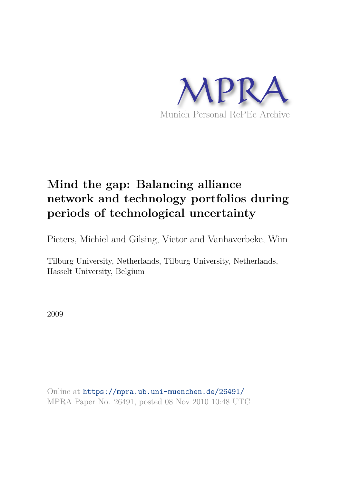

# **Mind the gap: Balancing alliance network and technology portfolios during periods of technological uncertainty**

Pieters, Michiel and Gilsing, Victor and Vanhaverbeke, Wim

Tilburg University, Netherlands, Tilburg University, Netherlands, Hasselt University, Belgium

2009

Online at https://mpra.ub.uni-muenchen.de/26491/ MPRA Paper No. 26491, posted 08 Nov 2010 10:48 UTC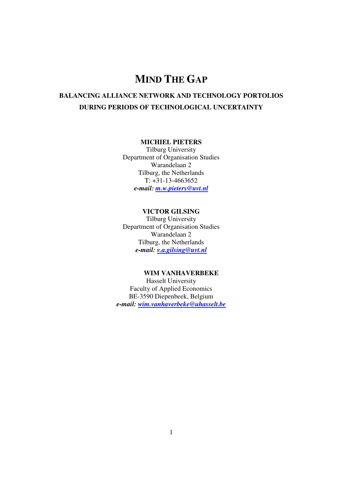## **MIND THE GAP**

### **BALANCING ALLIANCE NETWORK AND TECHNOLOGY PORTOLIOS DURING PERIODS OF TECHNOLOGICAL UNCERTAINTY**

#### **MICHIEL PIETERS**

Tilburg University Department of Organisation Studies Warandelaan 2 Tilburg, the Netherlands  $T: +31-13-4663652$ *e-mail: m.w.pieters@uvt.nl*

#### **VICTOR GILSING**

Tilburg University Department of Organisation Studies Warandelaan 2 Tilburg, the Netherlands *e-mail: v.a.gilsing@uvt.nl*

#### **WIM VANHAVERBEKE**

Hasselt University Faculty of Applied Economics BE-3590 Diepenbeek, Belgium *e-mail: wim.vanhaverbeke@uhasselt.be*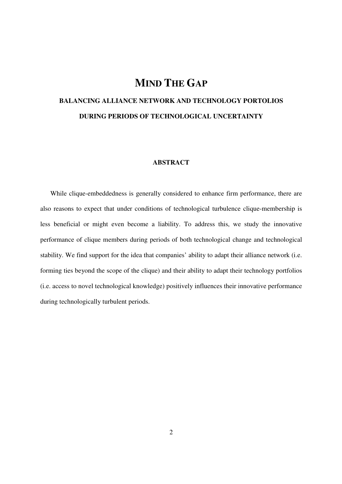## **MIND THE GAP**

## **BALANCING ALLIANCE NETWORK AND TECHNOLOGY PORTOLIOS DURING PERIODS OF TECHNOLOGICAL UNCERTAINTY**

#### **ABSTRACT**

While clique-embeddedness is generally considered to enhance firm performance, there are also reasons to expect that under conditions of technological turbulence clique-membership is less beneficial or might even become a liability. To address this, we study the innovative performance of clique members during periods of both technological change and technological stability. We find support for the idea that companies' ability to adapt their alliance network (i.e. forming ties beyond the scope of the clique) and their ability to adapt their technology portfolios (i.e. access to novel technological knowledge) positively influences their innovative performance during technologically turbulent periods.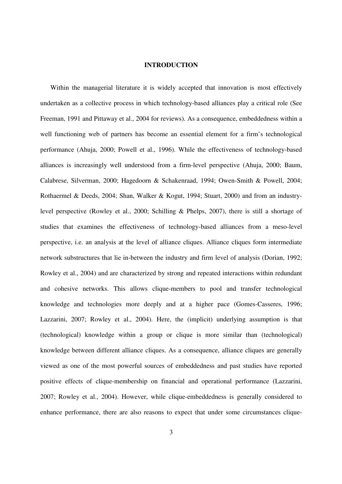#### **INTRODUCTION**

Within the managerial literature it is widely accepted that innovation is most effectively undertaken as a collective process in which technology-based alliances play a critical role (See Freeman, 1991 and Pittaway et al., 2004 for reviews). As a consequence, embeddedness within a well functioning web of partners has become an essential element for a firm's technological performance (Ahuja, 2000; Powell et al., 1996). While the effectiveness of technology-based alliances is increasingly well understood from a firm-level perspective (Ahuja, 2000; Baum, Calabrese, Silverman, 2000; Hagedoorn & Schakenraad, 1994; Owen-Smith & Powell, 2004; Rothaermel & Deeds, 2004; Shan, Walker & Kogut, 1994; Stuart, 2000) and from an industrylevel perspective (Rowley et al., 2000; Schilling & Phelps, 2007), there is still a shortage of studies that examines the effectiveness of technology-based alliances from a meso-level perspective, i.e. an analysis at the level of alliance cliques. Alliance cliques form intermediate network substructures that lie in-between the industry and firm level of analysis (Dorian, 1992; Rowley et al., 2004) and are characterized by strong and repeated interactions within redundant and cohesive networks. This allows clique-members to pool and transfer technological knowledge and technologies more deeply and at a higher pace (Gomes-Casseres, 1996; Lazzarini, 2007; Rowley et al., 2004). Here, the (implicit) underlying assumption is that (technological) knowledge within a group or clique is more similar than (technological) knowledge between different alliance cliques. As a consequence, alliance cliques are generally viewed as one of the most powerful sources of embeddedness and past studies have reported positive effects of clique-membership on financial and operational performance (Lazzarini, 2007; Rowley et al., 2004). However, while clique-embeddedness is generally considered to enhance performance, there are also reasons to expect that under some circumstances clique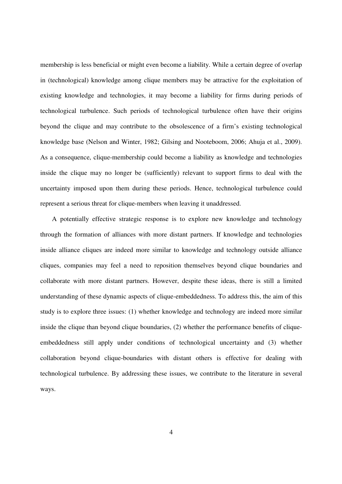membership is less beneficial or might even become a liability. While a certain degree of overlap in (technological) knowledge among clique members may be attractive for the exploitation of existing knowledge and technologies, it may become a liability for firms during periods of technological turbulence. Such periods of technological turbulence often have their origins beyond the clique and may contribute to the obsolescence of a firm's existing technological knowledge base (Nelson and Winter, 1982; Gilsing and Nooteboom, 2006; Ahuja et al., 2009). As a consequence, clique-membership could become a liability as knowledge and technologies inside the clique may no longer be (sufficiently) relevant to support firms to deal with the uncertainty imposed upon them during these periods. Hence, technological turbulence could represent a serious threat for clique-members when leaving it unaddressed.

 A potentially effective strategic response is to explore new knowledge and technology through the formation of alliances with more distant partners. If knowledge and technologies inside alliance cliques are indeed more similar to knowledge and technology outside alliance cliques, companies may feel a need to reposition themselves beyond clique boundaries and collaborate with more distant partners. However, despite these ideas, there is still a limited understanding of these dynamic aspects of clique-embeddedness. To address this, the aim of this study is to explore three issues: (1) whether knowledge and technology are indeed more similar inside the clique than beyond clique boundaries, (2) whether the performance benefits of cliqueembeddedness still apply under conditions of technological uncertainty and (3) whether collaboration beyond clique-boundaries with distant others is effective for dealing with technological turbulence. By addressing these issues, we contribute to the literature in several ways.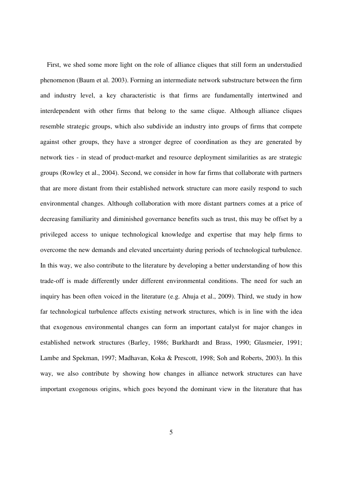First, we shed some more light on the role of alliance cliques that still form an understudied phenomenon (Baum et al. 2003). Forming an intermediate network substructure between the firm and industry level, a key characteristic is that firms are fundamentally intertwined and interdependent with other firms that belong to the same clique. Although alliance cliques resemble strategic groups, which also subdivide an industry into groups of firms that compete against other groups, they have a stronger degree of coordination as they are generated by network ties - in stead of product-market and resource deployment similarities as are strategic groups (Rowley et al., 2004). Second, we consider in how far firms that collaborate with partners that are more distant from their established network structure can more easily respond to such environmental changes. Although collaboration with more distant partners comes at a price of decreasing familiarity and diminished governance benefits such as trust, this may be offset by a privileged access to unique technological knowledge and expertise that may help firms to overcome the new demands and elevated uncertainty during periods of technological turbulence. In this way, we also contribute to the literature by developing a better understanding of how this trade-off is made differently under different environmental conditions. The need for such an inquiry has been often voiced in the literature (e.g. Ahuja et al., 2009). Third, we study in how far technological turbulence affects existing network structures, which is in line with the idea that exogenous environmental changes can form an important catalyst for major changes in established network structures (Barley, 1986; Burkhardt and Brass, 1990; Glasmeier, 1991; Lambe and Spekman, 1997; Madhavan, Koka & Prescott, 1998; Soh and Roberts, 2003). In this way, we also contribute by showing how changes in alliance network structures can have important exogenous origins, which goes beyond the dominant view in the literature that has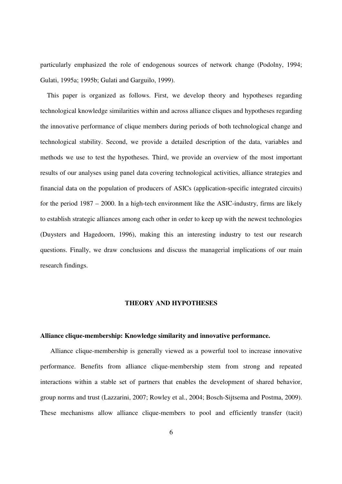particularly emphasized the role of endogenous sources of network change (Podolny, 1994; Gulati, 1995a; 1995b; Gulati and Garguilo, 1999).

 This paper is organized as follows. First, we develop theory and hypotheses regarding technological knowledge similarities within and across alliance cliques and hypotheses regarding the innovative performance of clique members during periods of both technological change and technological stability. Second, we provide a detailed description of the data, variables and methods we use to test the hypotheses. Third, we provide an overview of the most important results of our analyses using panel data covering technological activities, alliance strategies and financial data on the population of producers of ASICs (application-specific integrated circuits) for the period 1987 – 2000. In a high-tech environment like the ASIC-industry, firms are likely to establish strategic alliances among each other in order to keep up with the newest technologies (Duysters and Hagedoorn, 1996), making this an interesting industry to test our research questions. Finally, we draw conclusions and discuss the managerial implications of our main research findings.

#### **THEORY AND HYPOTHESES**

#### **Alliance clique-membership: Knowledge similarity and innovative performance.**

Alliance clique-membership is generally viewed as a powerful tool to increase innovative performance. Benefits from alliance clique-membership stem from strong and repeated interactions within a stable set of partners that enables the development of shared behavior, group norms and trust (Lazzarini, 2007; Rowley et al., 2004; Bosch-Sijtsema and Postma, 2009). These mechanisms allow alliance clique-members to pool and efficiently transfer (tacit)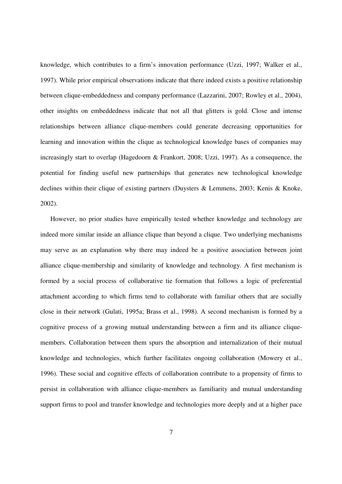knowledge, which contributes to a firm's innovation performance (Uzzi, 1997; Walker et al., 1997). While prior empirical observations indicate that there indeed exists a positive relationship between clique-embeddedness and company performance (Lazzarini, 2007; Rowley et al., 2004), other insights on embeddedness indicate that not all that glitters is gold. Close and intense relationships between alliance clique-members could generate decreasing opportunities for learning and innovation within the clique as technological knowledge bases of companies may increasingly start to overlap (Hagedoorn & Frankort, 2008; Uzzi, 1997). As a consequence, the potential for finding useful new partnerships that generates new technological knowledge declines within their clique of existing partners (Duysters & Lemmens, 2003; Kenis & Knoke, 2002).

However, no prior studies have empirically tested whether knowledge and technology are indeed more similar inside an alliance clique than beyond a clique. Two underlying mechanisms may serve as an explanation why there may indeed be a positive association between joint alliance clique-membership and similarity of knowledge and technology. A first mechanism is formed by a social process of collaborative tie formation that follows a logic of preferential attachment according to which firms tend to collaborate with familiar others that are socially close in their network (Gulati, 1995a; Brass et al., 1998). A second mechanism is formed by a cognitive process of a growing mutual understanding between a firm and its alliance cliquemembers. Collaboration between them spurs the absorption and internalization of their mutual knowledge and technologies, which further facilitates ongoing collaboration (Mowery et al., 1996). These social and cognitive effects of collaboration contribute to a propensity of firms to persist in collaboration with alliance clique-members as familiarity and mutual understanding support firms to pool and transfer knowledge and technologies more deeply and at a higher pace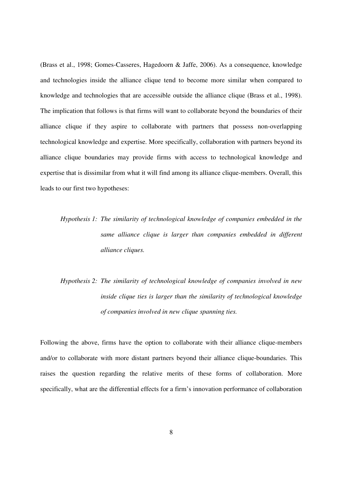(Brass et al., 1998; Gomes-Casseres, Hagedoorn & Jaffe, 2006). As a consequence, knowledge and technologies inside the alliance clique tend to become more similar when compared to knowledge and technologies that are accessible outside the alliance clique (Brass et al., 1998). The implication that follows is that firms will want to collaborate beyond the boundaries of their alliance clique if they aspire to collaborate with partners that possess non-overlapping technological knowledge and expertise. More specifically, collaboration with partners beyond its alliance clique boundaries may provide firms with access to technological knowledge and expertise that is dissimilar from what it will find among its alliance clique-members. Overall, this leads to our first two hypotheses:

## *Hypothesis 1: The similarity of technological knowledge of companies embedded in the same alliance clique is larger than companies embedded in different alliance cliques.*

*Hypothesis 2: The similarity of technological knowledge of companies involved in new inside clique ties is larger than the similarity of technological knowledge of companies involved in new clique spanning ties.* 

Following the above, firms have the option to collaborate with their alliance clique-members and/or to collaborate with more distant partners beyond their alliance clique-boundaries. This raises the question regarding the relative merits of these forms of collaboration. More specifically, what are the differential effects for a firm's innovation performance of collaboration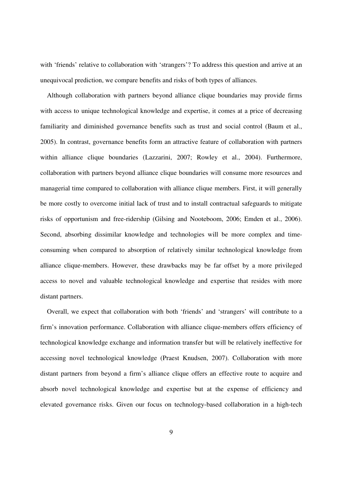with 'friends' relative to collaboration with 'strangers'? To address this question and arrive at an unequivocal prediction, we compare benefits and risks of both types of alliances.

 Although collaboration with partners beyond alliance clique boundaries may provide firms with access to unique technological knowledge and expertise, it comes at a price of decreasing familiarity and diminished governance benefits such as trust and social control (Baum et al., 2005). In contrast, governance benefits form an attractive feature of collaboration with partners within alliance clique boundaries (Lazzarini, 2007; Rowley et al., 2004). Furthermore, collaboration with partners beyond alliance clique boundaries will consume more resources and managerial time compared to collaboration with alliance clique members. First, it will generally be more costly to overcome initial lack of trust and to install contractual safeguards to mitigate risks of opportunism and free-ridership (Gilsing and Nooteboom, 2006; Emden et al., 2006). Second, absorbing dissimilar knowledge and technologies will be more complex and timeconsuming when compared to absorption of relatively similar technological knowledge from alliance clique-members. However, these drawbacks may be far offset by a more privileged access to novel and valuable technological knowledge and expertise that resides with more distant partners.

 Overall, we expect that collaboration with both 'friends' and 'strangers' will contribute to a firm's innovation performance. Collaboration with alliance clique-members offers efficiency of technological knowledge exchange and information transfer but will be relatively ineffective for accessing novel technological knowledge (Praest Knudsen, 2007). Collaboration with more distant partners from beyond a firm's alliance clique offers an effective route to acquire and absorb novel technological knowledge and expertise but at the expense of efficiency and elevated governance risks. Given our focus on technology-based collaboration in a high-tech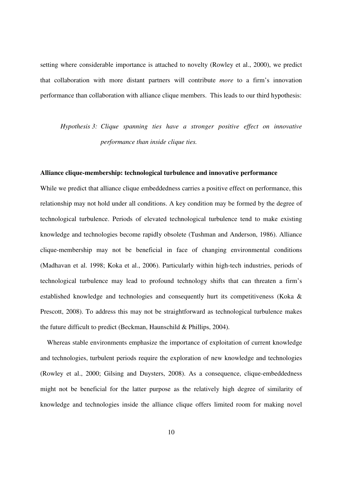setting where considerable importance is attached to novelty (Rowley et al., 2000), we predict that collaboration with more distant partners will contribute *more* to a firm's innovation performance than collaboration with alliance clique members. This leads to our third hypothesis:

*Hypothesis 3: Clique spanning ties have a stronger positive effect on innovative performance than inside clique ties.* 

#### **Alliance clique-membership: technological turbulence and innovative performance**

While we predict that alliance clique embeddedness carries a positive effect on performance, this relationship may not hold under all conditions. A key condition may be formed by the degree of technological turbulence. Periods of elevated technological turbulence tend to make existing knowledge and technologies become rapidly obsolete (Tushman and Anderson, 1986). Alliance clique-membership may not be beneficial in face of changing environmental conditions (Madhavan et al. 1998; Koka et al., 2006). Particularly within high-tech industries, periods of technological turbulence may lead to profound technology shifts that can threaten a firm's established knowledge and technologies and consequently hurt its competitiveness (Koka & Prescott, 2008). To address this may not be straightforward as technological turbulence makes the future difficult to predict (Beckman, Haunschild & Phillips, 2004).

 Whereas stable environments emphasize the importance of exploitation of current knowledge and technologies, turbulent periods require the exploration of new knowledge and technologies (Rowley et al., 2000; Gilsing and Duysters, 2008). As a consequence, clique-embeddedness might not be beneficial for the latter purpose as the relatively high degree of similarity of knowledge and technologies inside the alliance clique offers limited room for making novel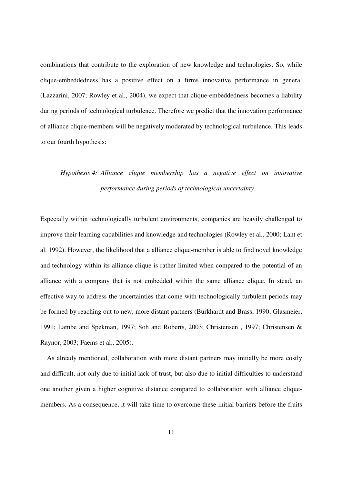combinations that contribute to the exploration of new knowledge and technologies. So, while clique-embeddedness has a positive effect on a firms innovative performance in general (Lazzarini, 2007; Rowley et al., 2004), we expect that clique-embeddedness becomes a liability during periods of technological turbulence. Therefore we predict that the innovation performance of alliance clique-members will be negatively moderated by technological turbulence. This leads to our fourth hypothesis:

## *Hypothesis 4: Alliance clique membership has a negative effect on innovative performance during periods of technological uncertainty.*

Especially within technologically turbulent environments, companies are heavily challenged to improve their learning capabilities and knowledge and technologies (Rowley et al., 2000; Lant et al. 1992). However, the likelihood that a alliance clique-member is able to find novel knowledge and technology within its alliance clique is rather limited when compared to the potential of an alliance with a company that is not embedded within the same alliance clique. In stead, an effective way to address the uncertainties that come with technologically turbulent periods may be formed by reaching out to new, more distant partners (Burkhardt and Brass, 1990; Glasmeier, 1991; Lambe and Spekman, 1997; Soh and Roberts, 2003; Christensen , 1997; Christensen & Raynor, 2003; Faems et al., 2005).

 As already mentioned, collaboration with more distant partners may initially be more costly and difficult, not only due to initial lack of trust, but also due to initial difficulties to understand one another given a higher cognitive distance compared to collaboration with alliance cliquemembers. As a consequence, it will take time to overcome these initial barriers before the fruits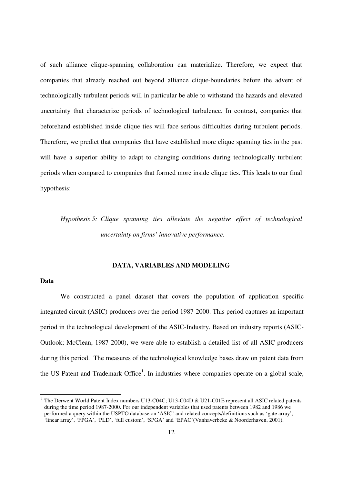of such alliance clique-spanning collaboration can materialize. Therefore, we expect that companies that already reached out beyond alliance clique-boundaries before the advent of technologically turbulent periods will in particular be able to withstand the hazards and elevated uncertainty that characterize periods of technological turbulence. In contrast, companies that beforehand established inside clique ties will face serious difficulties during turbulent periods. Therefore, we predict that companies that have established more clique spanning ties in the past will have a superior ability to adapt to changing conditions during technologically turbulent periods when compared to companies that formed more inside clique ties. This leads to our final hypothesis:

*Hypothesis 5: Clique spanning ties alleviate the negative effect of technological uncertainty on firms' innovative performance.* 

#### **DATA, VARIABLES AND MODELING**

#### **Data**

-

We constructed a panel dataset that covers the population of application specific integrated circuit (ASIC) producers over the period 1987-2000. This period captures an important period in the technological development of the ASIC-Industry. Based on industry reports (ASIC-Outlook; McClean, 1987-2000), we were able to establish a detailed list of all ASIC-producers during this period. The measures of the technological knowledge bases draw on patent data from the US Patent and Trademark Office<sup>1</sup>. In industries where companies operate on a global scale,

<sup>1</sup> The Derwent World Patent Index numbers U13-C04C; U13-C04D & U21-C01E represent all ASIC related patents during the time period 1987-2000. For our independent variables that used patents between 1982 and 1986 we performed a query within the USPTO database on 'ASIC' and related concepts/definitions such as 'gate array', 'linear array', 'FPGA', 'PLD', 'full custom', 'SPGA' and 'EPAC'(Vanhaverbeke & Noorderhaven, 2001).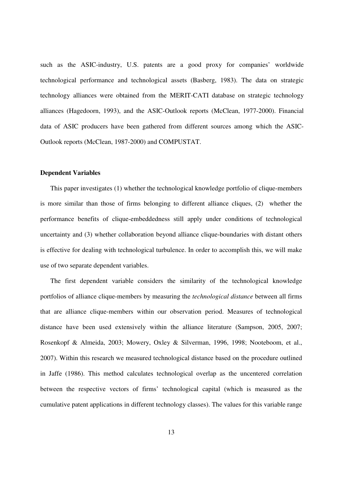such as the ASIC-industry, U.S. patents are a good proxy for companies' worldwide technological performance and technological assets (Basberg, 1983). The data on strategic technology alliances were obtained from the MERIT-CATI database on strategic technology alliances (Hagedoorn, 1993), and the ASIC-Outlook reports (McClean, 1977-2000). Financial data of ASIC producers have been gathered from different sources among which the ASIC-Outlook reports (McClean, 1987-2000) and COMPUSTAT.

#### **Dependent Variables**

This paper investigates (1) whether the technological knowledge portfolio of clique-members is more similar than those of firms belonging to different alliance cliques, (2) whether the performance benefits of clique-embeddedness still apply under conditions of technological uncertainty and (3) whether collaboration beyond alliance clique-boundaries with distant others is effective for dealing with technological turbulence. In order to accomplish this, we will make use of two separate dependent variables.

The first dependent variable considers the similarity of the technological knowledge portfolios of alliance clique-members by measuring the *technological distance* between all firms that are alliance clique-members within our observation period. Measures of technological distance have been used extensively within the alliance literature (Sampson, 2005, 2007; Rosenkopf & Almeida, 2003; Mowery, Oxley & Silverman, 1996, 1998; Nooteboom, et al., 2007). Within this research we measured technological distance based on the procedure outlined in Jaffe (1986). This method calculates technological overlap as the uncentered correlation between the respective vectors of firms' technological capital (which is measured as the cumulative patent applications in different technology classes). The values for this variable range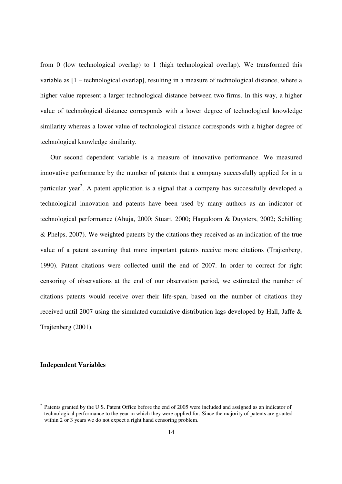from 0 (low technological overlap) to 1 (high technological overlap). We transformed this variable as [1 – technological overlap], resulting in a measure of technological distance, where a higher value represent a larger technological distance between two firms. In this way, a higher value of technological distance corresponds with a lower degree of technological knowledge similarity whereas a lower value of technological distance corresponds with a higher degree of technological knowledge similarity.

Our second dependent variable is a measure of innovative performance. We measured innovative performance by the number of patents that a company successfully applied for in a particular year<sup>2</sup>. A patent application is a signal that a company has successfully developed a technological innovation and patents have been used by many authors as an indicator of technological performance (Ahuja, 2000; Stuart, 2000; Hagedoorn & Duysters, 2002; Schilling & Phelps, 2007). We weighted patents by the citations they received as an indication of the true value of a patent assuming that more important patents receive more citations (Trajtenberg, 1990). Patent citations were collected until the end of 2007. In order to correct for right censoring of observations at the end of our observation period, we estimated the number of citations patents would receive over their life-span, based on the number of citations they received until 2007 using the simulated cumulative distribution lags developed by Hall, Jaffe & Trajtenberg (2001).

#### **Independent Variables**

<sup>&</sup>lt;sup>2</sup> Patents granted by the U.S. Patent Office before the end of 2005 were included and assigned as an indicator of technological performance to the year in which they were applied for. Since the majority of patents are granted within 2 or 3 years we do not expect a right hand censoring problem.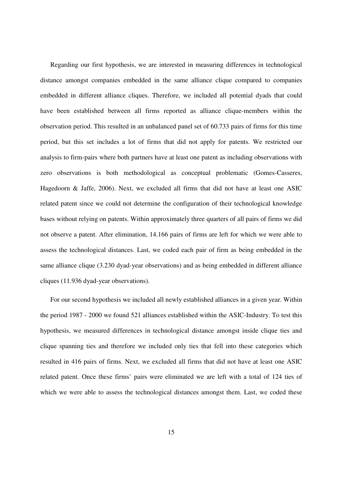Regarding our first hypothesis, we are interested in measuring differences in technological distance amongst companies embedded in the same alliance clique compared to companies embedded in different alliance cliques. Therefore, we included all potential dyads that could have been established between all firms reported as alliance clique-members within the observation period. This resulted in an unbalanced panel set of 60.733 pairs of firms for this time period, but this set includes a lot of firms that did not apply for patents. We restricted our analysis to firm-pairs where both partners have at least one patent as including observations with zero observations is both methodological as conceptual problematic (Gomes-Casseres, Hagedoorn & Jaffe, 2006). Next, we excluded all firms that did not have at least one ASIC related patent since we could not determine the configuration of their technological knowledge bases without relying on patents. Within approximately three quarters of all pairs of firms we did not observe a patent. After elimination, 14.166 pairs of firms are left for which we were able to assess the technological distances. Last, we coded each pair of firm as being embedded in the same alliance clique (3.230 dyad-year observations) and as being embedded in different alliance cliques (11.936 dyad-year observations).

For our second hypothesis we included all newly established alliances in a given year. Within the period 1987 - 2000 we found 521 alliances established within the ASIC-Industry. To test this hypothesis, we measured differences in technological distance amongst inside clique ties and clique spanning ties and therefore we included only ties that fell into these categories which resulted in 416 pairs of firms. Next, we excluded all firms that did not have at least one ASIC related patent. Once these firms' pairs were eliminated we are left with a total of 124 ties of which we were able to assess the technological distances amongst them. Last, we coded these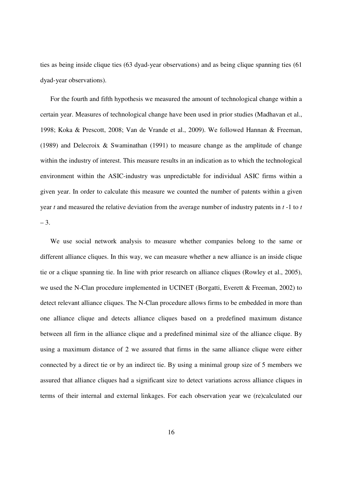ties as being inside clique ties (63 dyad-year observations) and as being clique spanning ties (61 dyad-year observations).

For the fourth and fifth hypothesis we measured the amount of technological change within a certain year. Measures of technological change have been used in prior studies (Madhavan et al., 1998; Koka & Prescott, 2008; Van de Vrande et al., 2009). We followed Hannan & Freeman, (1989) and Delecroix & Swaminathan (1991) to measure change as the amplitude of change within the industry of interest. This measure results in an indication as to which the technological environment within the ASIC-industry was unpredictable for individual ASIC firms within a given year. In order to calculate this measure we counted the number of patents within a given year *t* and measured the relative deviation from the average number of industry patents in *t* -1 to *t*  $-3.$ 

We use social network analysis to measure whether companies belong to the same or different alliance cliques. In this way, we can measure whether a new alliance is an inside clique tie or a clique spanning tie. In line with prior research on alliance cliques (Rowley et al., 2005), we used the N-Clan procedure implemented in UCINET (Borgatti, Everett & Freeman, 2002) to detect relevant alliance cliques. The N-Clan procedure allows firms to be embedded in more than one alliance clique and detects alliance cliques based on a predefined maximum distance between all firm in the alliance clique and a predefined minimal size of the alliance clique. By using a maximum distance of 2 we assured that firms in the same alliance clique were either connected by a direct tie or by an indirect tie. By using a minimal group size of 5 members we assured that alliance cliques had a significant size to detect variations across alliance cliques in terms of their internal and external linkages. For each observation year we (re)calculated our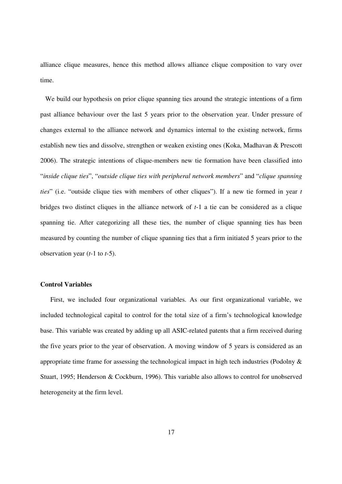alliance clique measures, hence this method allows alliance clique composition to vary over time.

 We build our hypothesis on prior clique spanning ties around the strategic intentions of a firm past alliance behaviour over the last 5 years prior to the observation year. Under pressure of changes external to the alliance network and dynamics internal to the existing network, firms establish new ties and dissolve, strengthen or weaken existing ones (Koka, Madhavan & Prescott 2006). The strategic intentions of clique-members new tie formation have been classified into "*inside clique ties*", "*outside clique ties with peripheral network members*" and "*clique spanning ties*" (i.e. "outside clique ties with members of other cliques"). If a new tie formed in year *t* bridges two distinct cliques in the alliance network of *t*-1 a tie can be considered as a clique spanning tie. After categorizing all these ties, the number of clique spanning ties has been measured by counting the number of clique spanning ties that a firm initiated 5 years prior to the observation year (*t*-1 to *t*-5).

#### **Control Variables**

First, we included four organizational variables. As our first organizational variable, we included technological capital to control for the total size of a firm's technological knowledge base. This variable was created by adding up all ASIC-related patents that a firm received during the five years prior to the year of observation. A moving window of 5 years is considered as an appropriate time frame for assessing the technological impact in high tech industries (Podolny  $\&$ Stuart, 1995; Henderson & Cockburn, 1996). This variable also allows to control for unobserved heterogeneity at the firm level.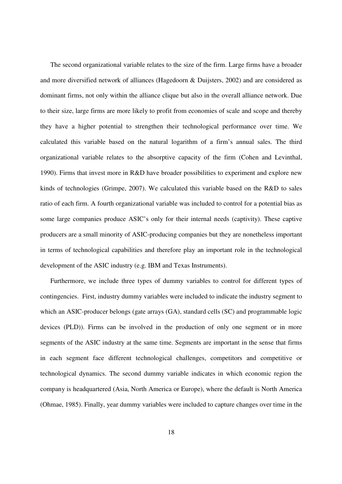The second organizational variable relates to the size of the firm. Large firms have a broader and more diversified network of alliances (Hagedoorn & Duijsters, 2002) and are considered as dominant firms, not only within the alliance clique but also in the overall alliance network. Due to their size, large firms are more likely to profit from economies of scale and scope and thereby they have a higher potential to strengthen their technological performance over time. We calculated this variable based on the natural logarithm of a firm's annual sales. The third organizational variable relates to the absorptive capacity of the firm (Cohen and Levinthal, 1990). Firms that invest more in R&D have broader possibilities to experiment and explore new kinds of technologies (Grimpe, 2007). We calculated this variable based on the R&D to sales ratio of each firm. A fourth organizational variable was included to control for a potential bias as some large companies produce ASIC's only for their internal needs (captivity). These captive producers are a small minority of ASIC-producing companies but they are nonetheless important in terms of technological capabilities and therefore play an important role in the technological development of the ASIC industry (e.g. IBM and Texas Instruments).

Furthermore, we include three types of dummy variables to control for different types of contingencies. First, industry dummy variables were included to indicate the industry segment to which an ASIC-producer belongs (gate arrays (GA), standard cells (SC) and programmable logic devices (PLD)). Firms can be involved in the production of only one segment or in more segments of the ASIC industry at the same time. Segments are important in the sense that firms in each segment face different technological challenges, competitors and competitive or technological dynamics. The second dummy variable indicates in which economic region the company is headquartered (Asia, North America or Europe), where the default is North America (Ohmae, 1985). Finally, year dummy variables were included to capture changes over time in the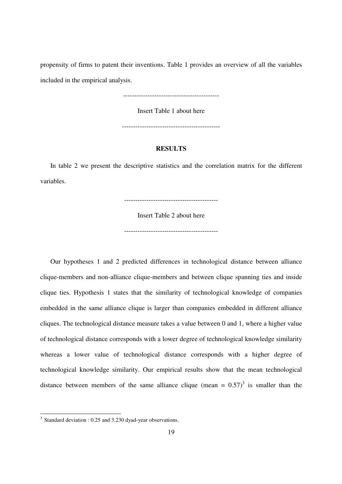propensity of firms to patent their inventions. Table 1 provides an overview of all the variables included in the empirical analysis.

-------------------------------------------

Insert Table 1 about here

--------------------------------------------

#### **RESULTS**

In table 2 we present the descriptive statistics and the correlation matrix for the different variables.

------------------------------------------

Insert Table 2 about here

------------------------------------------

Our hypotheses 1 and 2 predicted differences in technological distance between alliance clique-members and non-alliance clique-members and between clique spanning ties and inside clique ties. Hypothesis 1 states that the similarity of technological knowledge of companies embedded in the same alliance clique is larger than companies embedded in different alliance cliques. The technological distance measure takes a value between 0 and 1, where a higher value of technological distance corresponds with a lower degree of technological knowledge similarity whereas a lower value of technological distance corresponds with a higher degree of technological knowledge similarity. Our empirical results show that the mean technological distance between members of the same alliance clique (mean =  $0.57$ )<sup>3</sup> is smaller than the

<sup>&</sup>lt;sup>3</sup> Standard deviation : 0.25 and 3.230 dyad-year observations.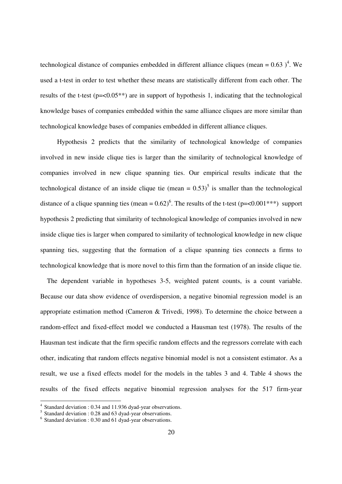technological distance of companies embedded in different alliance cliques (mean =  $0.63$ )<sup>4</sup>. We used a t-test in order to test whether these means are statistically different from each other. The results of the t-test (p=<0.05\*\*) are in support of hypothesis 1, indicating that the technological knowledge bases of companies embedded within the same alliance cliques are more similar than technological knowledge bases of companies embedded in different alliance cliques.

 Hypothesis 2 predicts that the similarity of technological knowledge of companies involved in new inside clique ties is larger than the similarity of technological knowledge of companies involved in new clique spanning ties. Our empirical results indicate that the technological distance of an inside clique tie (mean  $= 0.53$ )<sup>5</sup> is smaller than the technological distance of a clique spanning ties (mean =  $0.62$ )<sup>6</sup>. The results of the t-test (p=<0.001<sup>\*\*\*</sup>) support hypothesis 2 predicting that similarity of technological knowledge of companies involved in new inside clique ties is larger when compared to similarity of technological knowledge in new clique spanning ties, suggesting that the formation of a clique spanning ties connects a firms to technological knowledge that is more novel to this firm than the formation of an inside clique tie.

 The dependent variable in hypotheses 3-5, weighted patent counts, is a count variable. Because our data show evidence of overdispersion, a negative binomial regression model is an appropriate estimation method (Cameron & Trivedi, 1998). To determine the choice between a random-effect and fixed-effect model we conducted a Hausman test (1978). The results of the Hausman test indicate that the firm specific random effects and the regressors correlate with each other, indicating that random effects negative binomial model is not a consistent estimator. As a result, we use a fixed effects model for the models in the tables 3 and 4. Table 4 shows the results of the fixed effects negative binomial regression analyses for the 517 firm-year

-

<sup>4</sup> Standard deviation : 0.34 and 11.936 dyad-year observations.

<sup>&</sup>lt;sup>5</sup> Standard deviation : 0.28 and 63 dyad-year observations.

<sup>&</sup>lt;sup>6</sup> Standard deviation : 0.30 and 61 dyad-year observations.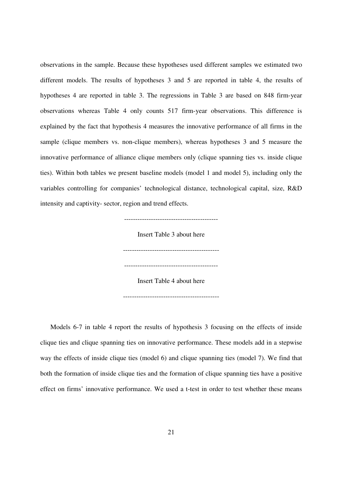observations in the sample. Because these hypotheses used different samples we estimated two different models. The results of hypotheses 3 and 5 are reported in table 4, the results of hypotheses 4 are reported in table 3. The regressions in Table 3 are based on 848 firm-year observations whereas Table 4 only counts 517 firm-year observations. This difference is explained by the fact that hypothesis 4 measures the innovative performance of all firms in the sample (clique members vs. non-clique members), whereas hypotheses 3 and 5 measure the innovative performance of alliance clique members only (clique spanning ties vs. inside clique ties). Within both tables we present baseline models (model 1 and model 5), including only the variables controlling for companies' technological distance, technological capital, size, R&D intensity and captivity- sector, region and trend effects.

> Insert Table 3 about here ------------------------------------------- ------------------------------------------ Insert Table 4 about here -------------------------------------------

Models 6-7 in table 4 report the results of hypothesis 3 focusing on the effects of inside clique ties and clique spanning ties on innovative performance. These models add in a stepwise way the effects of inside clique ties (model 6) and clique spanning ties (model 7). We find that both the formation of inside clique ties and the formation of clique spanning ties have a positive effect on firms' innovative performance. We used a t-test in order to test whether these means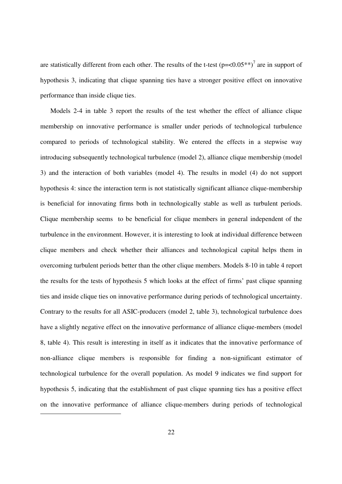are statistically different from each other. The results of the t-test  $(p=<0.05**)^7$  are in support of hypothesis 3, indicating that clique spanning ties have a stronger positive effect on innovative performance than inside clique ties.

Models 2-4 in table 3 report the results of the test whether the effect of alliance clique membership on innovative performance is smaller under periods of technological turbulence compared to periods of technological stability. We entered the effects in a stepwise way introducing subsequently technological turbulence (model 2), alliance clique membership (model 3) and the interaction of both variables (model 4). The results in model (4) do not support hypothesis 4: since the interaction term is not statistically significant alliance clique-membership is beneficial for innovating firms both in technologically stable as well as turbulent periods. Clique membership seems to be beneficial for clique members in general independent of the turbulence in the environment. However, it is interesting to look at individual difference between clique members and check whether their alliances and technological capital helps them in overcoming turbulent periods better than the other clique members. Models 8-10 in table 4 report the results for the tests of hypothesis 5 which looks at the effect of firms' past clique spanning ties and inside clique ties on innovative performance during periods of technological uncertainty. Contrary to the results for all ASIC-producers (model 2, table 3), technological turbulence does have a slightly negative effect on the innovative performance of alliance clique-members (model 8, table 4). This result is interesting in itself as it indicates that the innovative performance of non-alliance clique members is responsible for finding a non-significant estimator of technological turbulence for the overall population. As model 9 indicates we find support for hypothesis 5, indicating that the establishment of past clique spanning ties has a positive effect on the innovative performance of alliance clique-members during periods of technological

-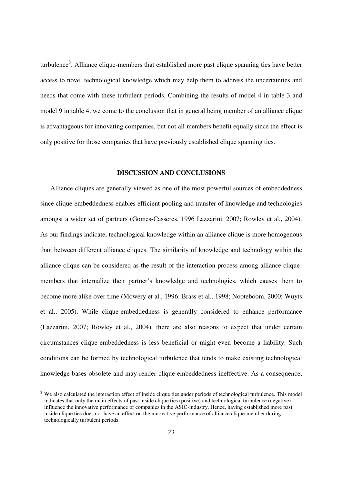turbulence<sup>8</sup>. Alliance clique-members that established more past clique spanning ties have better access to novel technological knowledge which may help them to address the uncertainties and needs that come with these turbulent periods. Combining the results of model 4 in table 3 and model 9 in table 4, we come to the conclusion that in general being member of an alliance clique is advantageous for innovating companies, but not all members benefit equally since the effect is only positive for those companies that have previously established clique spanning ties.

#### **DISCUSSION AND CONCLUSIONS**

Alliance cliques are generally viewed as one of the most powerful sources of embeddedness since clique-embeddedness enables efficient pooling and transfer of knowledge and technologies amongst a wider set of partners (Gomes-Casseres, 1996 Lazzarini, 2007; Rowley et al., 2004). As our findings indicate, technological knowledge within an alliance clique is more homogenous than between different alliance cliques. The similarity of knowledge and technology within the alliance clique can be considered as the result of the interaction process among alliance cliquemembers that internalize their partner's knowledge and technologies, which causes them to become more alike over time (Mowery et al., 1996; Brass et al., 1998; Nooteboom, 2000; Wuyts et al., 2005). While clique-embeddedness is generally considered to enhance performance (Lazzarini, 2007; Rowley et al., 2004), there are also reasons to expect that under certain circumstances clique-embeddedness is less beneficial or might even become a liability. Such conditions can be formed by technological turbulence that tends to make existing technological knowledge bases obsolete and may render clique-embeddedness ineffective. As a consequence,

<sup>&</sup>lt;sup>8</sup> We also calculated the interaction effect of inside clique ties under periods of technological turbulence. This model indicates that only the main effects of past inside clique ties (positive) and technological turbulence (negative) influence the innovative performance of companies in the ASIC-industry. Hence, having established more past inside clique ties does not have an effect on the innovative performance of alliance clique-member during technologically turbulent periods.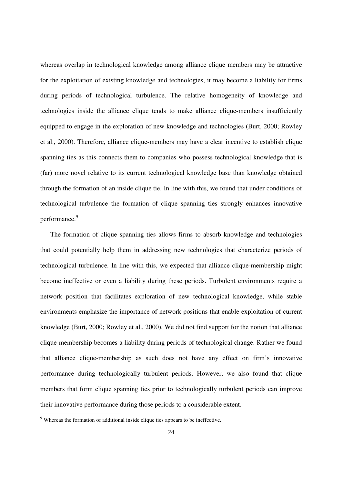whereas overlap in technological knowledge among alliance clique members may be attractive for the exploitation of existing knowledge and technologies, it may become a liability for firms during periods of technological turbulence. The relative homogeneity of knowledge and technologies inside the alliance clique tends to make alliance clique-members insufficiently equipped to engage in the exploration of new knowledge and technologies (Burt, 2000; Rowley et al., 2000). Therefore, alliance clique-members may have a clear incentive to establish clique spanning ties as this connects them to companies who possess technological knowledge that is (far) more novel relative to its current technological knowledge base than knowledge obtained through the formation of an inside clique tie. In line with this, we found that under conditions of technological turbulence the formation of clique spanning ties strongly enhances innovative performance.<sup>9</sup>

The formation of clique spanning ties allows firms to absorb knowledge and technologies that could potentially help them in addressing new technologies that characterize periods of technological turbulence. In line with this, we expected that alliance clique-membership might become ineffective or even a liability during these periods. Turbulent environments require a network position that facilitates exploration of new technological knowledge, while stable environments emphasize the importance of network positions that enable exploitation of current knowledge (Burt, 2000; Rowley et al., 2000). We did not find support for the notion that alliance clique-membership becomes a liability during periods of technological change. Rather we found that alliance clique-membership as such does not have any effect on firm's innovative performance during technologically turbulent periods. However, we also found that clique members that form clique spanning ties prior to technologically turbulent periods can improve their innovative performance during those periods to a considerable extent.

Whereas the formation of additional inside clique ties appears to be ineffective.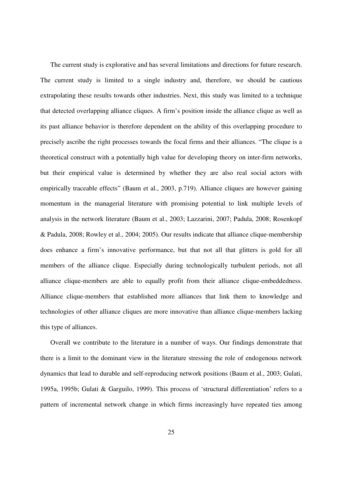The current study is explorative and has several limitations and directions for future research. The current study is limited to a single industry and, therefore, we should be cautious extrapolating these results towards other industries. Next, this study was limited to a technique that detected overlapping alliance cliques. A firm's position inside the alliance clique as well as its past alliance behavior is therefore dependent on the ability of this overlapping procedure to precisely ascribe the right processes towards the focal firms and their alliances. "The clique is a theoretical construct with a potentially high value for developing theory on inter-firm networks, but their empirical value is determined by whether they are also real social actors with empirically traceable effects" (Baum et al., 2003, p.719). Alliance cliques are however gaining momentum in the managerial literature with promising potential to link multiple levels of analysis in the network literature (Baum et al., 2003; Lazzarini, 2007; Padula, 2008; Rosenkopf & Padula, 2008; Rowley et al., 2004; 2005). Our results indicate that alliance clique-membership does enhance a firm's innovative performance, but that not all that glitters is gold for all members of the alliance clique. Especially during technologically turbulent periods, not all alliance clique-members are able to equally profit from their alliance clique-embeddedness. Alliance clique-members that established more alliances that link them to knowledge and technologies of other alliance cliques are more innovative than alliance clique-members lacking this type of alliances.

Overall we contribute to the literature in a number of ways. Our findings demonstrate that there is a limit to the dominant view in the literature stressing the role of endogenous network dynamics that lead to durable and self-reproducing network positions (Baum et al., 2003; Gulati, 1995a, 1995b; Gulati & Garguilo, 1999). This process of 'structural differentiation' refers to a pattern of incremental network change in which firms increasingly have repeated ties among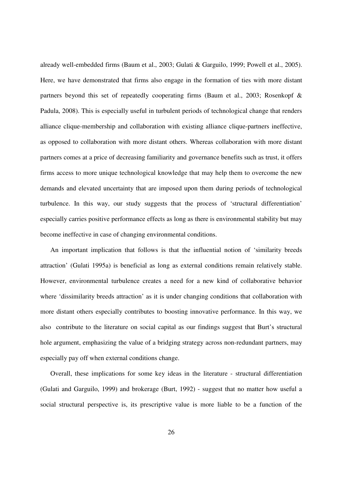already well-embedded firms (Baum et al., 2003; Gulati & Garguilo, 1999; Powell et al., 2005). Here, we have demonstrated that firms also engage in the formation of ties with more distant partners beyond this set of repeatedly cooperating firms (Baum et al., 2003; Rosenkopf & Padula, 2008). This is especially useful in turbulent periods of technological change that renders alliance clique-membership and collaboration with existing alliance clique-partners ineffective, as opposed to collaboration with more distant others. Whereas collaboration with more distant partners comes at a price of decreasing familiarity and governance benefits such as trust, it offers firms access to more unique technological knowledge that may help them to overcome the new demands and elevated uncertainty that are imposed upon them during periods of technological turbulence. In this way, our study suggests that the process of 'structural differentiation' especially carries positive performance effects as long as there is environmental stability but may become ineffective in case of changing environmental conditions.

An important implication that follows is that the influential notion of 'similarity breeds attraction' (Gulati 1995a) is beneficial as long as external conditions remain relatively stable. However, environmental turbulence creates a need for a new kind of collaborative behavior where 'dissimilarity breeds attraction' as it is under changing conditions that collaboration with more distant others especially contributes to boosting innovative performance. In this way, we also contribute to the literature on social capital as our findings suggest that Burt's structural hole argument, emphasizing the value of a bridging strategy across non-redundant partners, may especially pay off when external conditions change.

Overall, these implications for some key ideas in the literature - structural differentiation (Gulati and Garguilo, 1999) and brokerage (Burt, 1992) - suggest that no matter how useful a social structural perspective is, its prescriptive value is more liable to be a function of the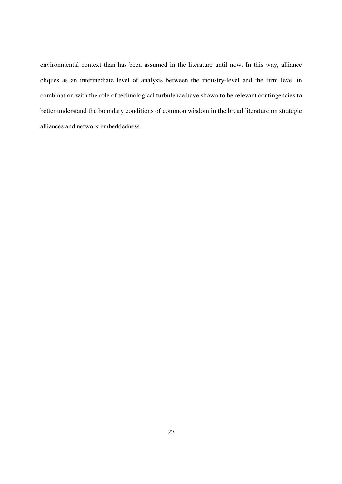environmental context than has been assumed in the literature until now. In this way, alliance cliques as an intermediate level of analysis between the industry-level and the firm level in combination with the role of technological turbulence have shown to be relevant contingencies to better understand the boundary conditions of common wisdom in the broad literature on strategic alliances and network embeddedness.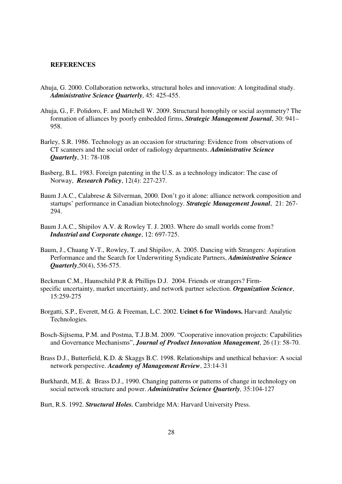#### **REFERENCES**

- Ahuja, G. 2000. Collaboration networks, structural holes and innovation: A longitudinal study. *Administrative Science Quarterly*, 45: 425-455.
- Ahuja, G., F. Polidoro, F. and Mitchell W. 2009. Structural homophily or social asymmetry? The formation of alliances by poorly embedded firms, *Strategic Management Journal*, 30: 941– 958.
- Barley, S.R. 1986. Technology as an occasion for structuring: Evidence from observations of CT scanners and the social order of radiology departments. *Administrative Science Quarterly*, 31: 78-108
- Basberg, B.L. 1983. Foreign patenting in the U.S. as a technology indicator: The case of Norway, *Research Policy*, 12(4): 227-237.
- Baum J.A.C., Calabrese & Silverman, 2000. Don't go it alone: alliance network composition and startups' performance in Canadian biotechnology. *Strategic Management Jounal*, 21: 267- 294.
- Baum J.A.C., Shipilov A.V. & Rowley T. J. 2003. Where do small worlds come from? *Industrial and Corporate change*, 12: 697-725.
- Baum, J., Chuang Y-T., Rowley, T. and Shipilov, A. 2005. Dancing with Strangers: Aspiration Performance and the Search for Underwriting Syndicate Partners, *Administrative Science Quarterly*,50(4), 536-575.

Beckman C.M., Haunschild P.R & Phillips D.J. 2004. Friends or strangers? Firmspecific uncertainty, market uncertainty, and network partner selection. *Organization Science*, 15:259-275

- Borgatti, S.P., Everett, M.G. & Freeman, L.C. 2002. **Ucinet 6 for Windows.** Harvard: Analytic Technologies.
- Bosch-Sijtsema, P.M. and Postma, T.J.B.M. 2009. "Cooperative innovation projects: Capabilities and Governance Mechanisms", *Journal of Product Innovation Management*, 26 (1): 58-70.
- Brass D.J., Butterfield, K.D. & Skaggs B.C. 1998. Relationships and unethical behavior: A social network perspective. *Academy of Management Review*, 23:14-31
- Burkhardt, M.E. & Brass D.J., 1990. Changing patterns or patterns of change in technology on social network structure and power. *Administrative Science Quarterly,* 35:104-127
- Burt, R.S. 1992. *Structural Holes.* Cambridge MA: Harvard University Press.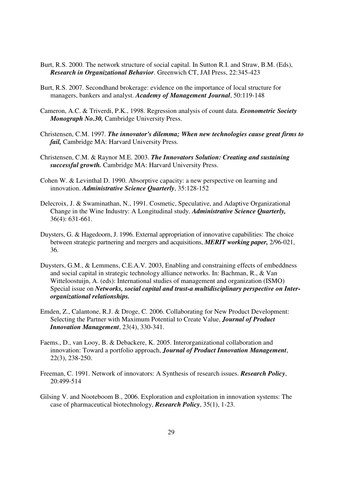- Burt, R.S. 2000. The network structure of social capital. In Sutton R.I. and Straw, B.M. (Eds), *Research in Organizational Behavior*. Greenwich CT, JAI Press, 22:345-423
- Burt, R.S. 2007. Secondhand brokerage: evidence on the importance of local structure for managers, bankers and analyst. *Academy of Management Journal*, 50:119-148
- Cameron, A.C. & Triverdi, P.K., 1998. Regression analysis of count data. *Econometric Society Monograph No.30,* Cambridge University Press.
- Christensen, C.M. 1997. *The innovator's dilemma; When new technologies cause great firms to fail,* Cambridge MA: Harvard University Press.
- Christensen, C.M. & Raynor M.E. 2003. *The Innovators Solution: Creating and sustaining successful growth.* Cambridge MA: Harvard University Press.
- Cohen W. & Levinthal D. 1990. Absorptive capacity: a new perspective on learning and innovation. *Administrative Science Quarterly*, 35:128-152
- Delecroix, J. & Swaminathan, N., 1991. Cosmetic, Speculative, and Adaptive Organizational Change in the Wine Industry: A Longitudinal study. *Administrative Science Quarterly,* 36(4): 631-661.
- Duysters, G. & Hagedoorn, J. 1996. External appropriation of innovative capabilities: The choice between strategic partnering and mergers and acquisitions, *MERIT working paper,* 2/96-021, 36.
- Duysters, G.M., & Lemmens, C.E.A.V. 2003, Enabling and constraining effects of embeddness and social capital in strategic technology alliance networks. In: Bachman, R., & Van Witteloostuijn, A. (eds): International studies of management and organization (ISMO) Special issue on *Networks, social capital and trust-a multidisciplinary perspective on Interorganizational relationships.*
- Emden, Z., Calantone, R.J. & Droge, C. 2006. Collaborating for New Product Development: Selecting the Partner with Maximum Potential to Create Value, *Journal of Product Innovation Management*, 23(4), 330-341.
- Faems., D., van Looy, B. & Debackere, K. 2005. Interorganizational collaboration and innovation: Toward a portfolio approach, *Journal of Product Innovation Management*, 22(3), 238-250.
- Freeman, C. 1991. Network of innovators: A Synthesis of research issues. *Research Policy*, 20:499-514
- Gilsing V. and Nooteboom B., 2006. Exploration and exploitation in innovation systems: The case of pharmaceutical biotechnology, *Research Policy*, 35(1), 1-23.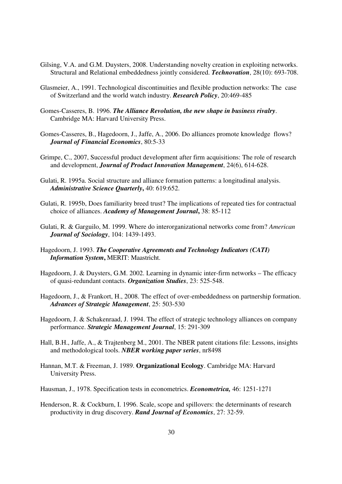- Gilsing, V.A. and G.M. Duysters, 2008. Understanding novelty creation in exploiting networks. Structural and Relational embeddedness jointly considered. *Technovation*, 28(10): 693-708.
- Glasmeier, A., 1991. Technological discontinuities and flexible production networks: The case of Switzerland and the world watch industry. *Research Policy*, 20:469-485
- Gomes-Casseres, B. 1996. *The Alliance Revolution, the new shape in business rivalry*. Cambridge MA: Harvard University Press.
- Gomes-Casseres, B., Hagedoorn, J., Jaffe, A., 2006. Do alliances promote knowledge flows? *Journal of Financial Economics*, 80:5-33
- Grimpe, C., 2007, Successful product development after firm acquisitions: The role of research and development, *Journal of Product Innovation Management*, 24(6), 614-628.
- Gulati, R. 1995a. Social structure and alliance formation patterns: a longitudinal analysis. *Administrative Science Quarterly***,** 40: 619:652.
- Gulati, R. 1995b, Does familiarity breed trust? The implications of repeated ties for contractual choice of alliances. *Academy of Management Journal***,** 38: 85-112
- Gulati, R. & Garguilo, M. 1999. Where do interorganizational networks come from? *American Journal of Sociology*, 104: 1439-1493.
- Hagedoorn, J. 1993. *The Cooperative Agreements and Technology Indicators (CATI) Information System***,** MERIT: Maastricht.
- Hagedoorn, J. & Duysters, G.M. 2002. Learning in dynamic inter-firm networks The efficacy of quasi-redundant contacts. *Organization Studies*, 23: 525-548.
- Hagedoorn, J., & Frankort, H., 2008. The effect of over-embeddedness on partnership formation. *Advances of Strategic Management*, 25: 503-530
- Hagedoorn, J. & Schakenraad, J. 1994. The effect of strategic technology alliances on company performance. *Strategic Management Journal*, 15: 291-309
- Hall, B.H., Jaffe, A., & Trajtenberg M., 2001. The NBER patent citations file: Lessons, insights and methodological tools. *NBER working paper series*, nr8498
- Hannan, M.T. & Freeman, J. 1989. **Organizational Ecology**. Cambridge MA: Harvard University Press.
- Hausman, J., 1978. Specification tests in econometrics. *Econometrica,* 46: 1251-1271
- Henderson, R. & Cockburn, I. 1996. Scale, scope and spillovers: the determinants of research productivity in drug discovery. *Rand Journal of Economics*, 27: 32-59.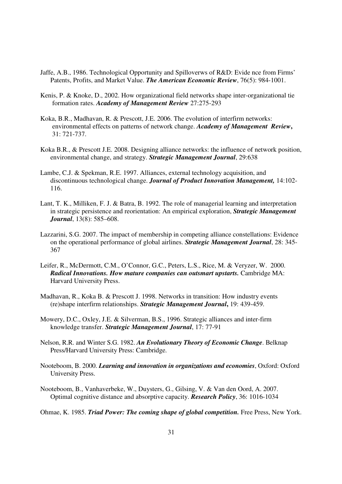- Jaffe, A.B., 1986. Technological Opportunity and Spilloverws of R&D: Evide nce from Firms' Patents, Profits, and Market Value. *The American Economic Review*, 76(5): 984-1001.
- Kenis, P. & Knoke, D., 2002. How organizational field networks shape inter-organizational tie formation rates. *Academy of Management Review* 27:275-293
- Koka, B.R., Madhavan, R. & Prescott, J.E. 2006. The evolution of interfirm networks: environmental effects on patterns of network change. *Academy of Management Review***,** 31: 721-737.
- Koka B.R., & Prescott J.E. 2008. Designing alliance networks: the influence of network position, environmental change, and strategy. *Strategic Management Journal*, 29:638
- Lambe, C.J. & Spekman, R.E. 1997. Alliances, external technology acquisition, and discontinuous technological change. *Journal of Product Innovation Management,* 14:102- 116.
- Lant, T. K., Milliken, F. J. & Batra, B. 1992. The role of managerial learning and interpretation in strategic persistence and reorientation: An empirical exploration, *Strategic Management Journal*, 13(8): 585–608.
- Lazzarini, S.G. 2007. The impact of membership in competing alliance constellations: Evidence on the operational performance of global airlines. *Strategic Management Journal*, 28: 345- 367
- Leifer, R., McDermott, C.M., O'Connor, G.C., Peters, L.S., Rice, M. & Veryzer, W. 2000. *Radical Innovations. How mature companies can outsmart upstarts.* Cambridge MA: Harvard University Press.
- Madhavan, R., Koka B. & Prescott J. 1998. Networks in transition: How industry events (re)shape interfirm relationships. *Strategic Management Journal***,** 19: 439-459.
- Mowery, D.C., Oxley, J.E. & Silverman, B.S., 1996. Strategic alliances and inter-firm knowledge transfer. *Strategic Management Journal*, 17: 77-91
- Nelson, R.R. and Winter S.G. 1982. *An Evolutionary Theory of Economic Change*. Belknap Press/Harvard University Press: Cambridge.
- Nooteboom, B. 2000. *Learning and innovation in organizations and economies*, Oxford: Oxford University Press.
- Nooteboom, B., Vanhaverbeke, W., Duysters, G., Gilsing, V. & Van den Oord, A. 2007. Optimal cognitive distance and absorptive capacity. *Research Policy*, 36: 1016-1034
- Ohmae, K. 1985. *Triad Power: The coming shape of global competition.* Free Press, New York.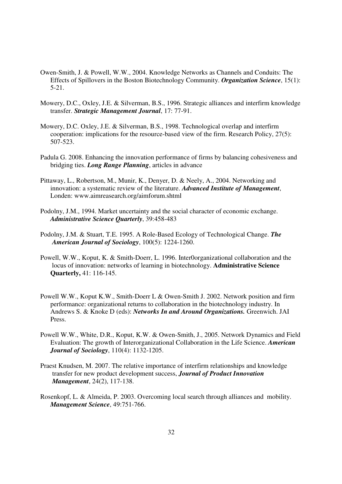- Owen-Smith, J. & Powell, W.W., 2004. Knowledge Networks as Channels and Conduits: The Effects of Spillovers in the Boston Biotechnology Community. *Organization Science*, 15(1): 5-21.
- Mowery, D.C., Oxley, J.E. & Silverman, B.S., 1996. Strategic alliances and interfirm knowledge transfer. *Strategic Management Journal*, 17: 77-91.
- Mowery, D.C. Oxley, J.E. & Silverman, B.S., 1998. Technological overlap and interfirm cooperation: implications for the resource-based view of the firm. Research Policy, 27(5): 507-523.
- Padula G. 2008. Enhancing the innovation performance of firms by balancing cohesiveness and bridging ties. *Long Range Planning*, articles in advance
- Pittaway, L., Robertson, M., Munir, K., Denyer, D. & Neely, A., 2004. Networking and innovation: a systematic review of the literature. *Advanced Institute of Management*, Londen: www.aimreasearch.org/aimforum.shtml
- Podolny, J.M., 1994. Market uncertainty and the social character of economic exchange. *Administrative Science Quarterly*, 39:458-483
- Podolny, J.M. & Stuart, T.E. 1995. A Role-Based Ecology of Technological Change. *The American Journal of Sociology*, 100(5): 1224-1260.
- Powell, W.W., Koput, K. & Smith-Doerr, L. 1996. Inter0organizational collaboration and the locus of innovation: networks of learning in biotechnology. **Administrative Science Quarterly,** 41: 116-145.
- Powell W.W., Koput K.W., Smith-Doerr L & Owen-Smith J. 2002. Network position and firm performance: organizational returns to collaboration in the biotechnology industry. In Andrews S. & Knoke D (eds): *Networks In and Around Organizations.* Greenwich. JAI Press.
- Powell W.W., White, D.R., Koput, K.W. & Owen-Smith, J., 2005. Network Dynamics and Field Evaluation: The growth of Interorganizational Collaboration in the Life Science. *American Journal of Sociology*, 110(4): 1132-1205.
- Praest Knudsen, M. 2007. The relative importance of interfirm relationships and knowledge transfer for new product development success, *Journal of Product Innovation Management*, 24(2), 117-138.
- Rosenkopf, L. & Almeida, P. 2003. Overcoming local search through alliances and mobility. *Management Science*, 49:751-766.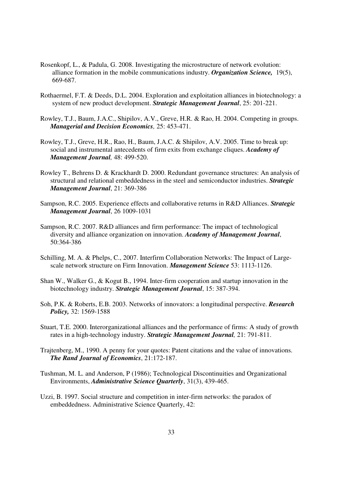- Rosenkopf, L., & Padula, G. 2008. Investigating the microstructure of network evolution: alliance formation in the mobile communications industry. *Organization Science,* 19(5), 669-687.
- Rothaermel, F.T. & Deeds, D.L. 2004. Exploration and exploitation alliances in biotechnology: a system of new product development. *Strategic Management Journal*, 25: 201-221.
- Rowley, T.J., Baum, J.A.C., Shipilov, A.V., Greve, H.R. & Rao, H. 2004. Competing in groups. *Managerial and Decision Economics,* 25: 453-471.
- Rowley, T.J., Greve, H.R., Rao, H., Baum, J.A.C. & Shipilov, A.V. 2005. Time to break up: social and instrumental antecedents of firm exits from exchange cliques. *Academy of Management Journal,* 48: 499-520.
- Rowley T., Behrens D. & Krackhardt D. 2000. Redundant governance structures: An analysis of structural and relational embeddedness in the steel and semiconductor industries. *Strategic Management Journal*, 21: 369-386
- Sampson, R.C. 2005. Experience effects and collaborative returns in R&D Alliances. *Strategic Management Journal*, 26 1009-1031
- Sampson, R.C. 2007. R&D alliances and firm performance: The impact of technological diversity and alliance organization on innovation. *Academy of Management Journal*, 50:364-386
- Schilling, M. A. & Phelps, C., 2007. Interfirm Collaboration Networks: The Impact of Largescale network structure on Firm Innovation. *Management Science* 53: 1113-1126.
- Shan W., Walker G., & Kogut B., 1994. Inter-firm cooperation and startup innovation in the biotechnology industry. *Strategic Management Journal*, 15: 387-394.
- Soh, P.K. & Roberts, E.B. 2003. Networks of innovators: a longitudinal perspective. *Research Policy,* 32: 1569-1588
- Stuart, T.E. 2000. Interorganizational alliances and the performance of firms: A study of growth rates in a high-technology industry. *Strategic Management Journal,* 21: 791-811.
- Trajtenberg, M., 1990. A penny for your quotes: Patent citations and the value of innovations. *The Rand Journal of Economics*, 21:172-187.
- Tushman, M. L. and Anderson, P (1986); Technological Discontinuities and Organizational Environments, *Administrative Science Quarterly*, 31(3), 439-465.
- Uzzi, B. 1997. Social structure and competition in inter-firm networks: the paradox of embeddedness. Administrative Science Quarterly, 42: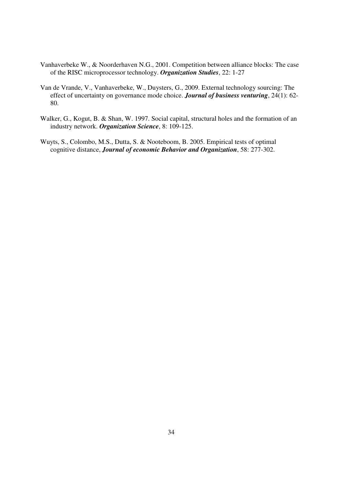- Vanhaverbeke W., & Noorderhaven N.G., 2001. Competition between alliance blocks: The case of the RISC microprocessor technology. *Organization Studies*, 22: 1-27
- Van de Vrande, V., Vanhaverbeke, W., Duysters, G., 2009. External technology sourcing: The effect of uncertainty on governance mode choice. *Journal of business venturing*, 24(1): 62- 80.
- Walker, G., Kogut, B. & Shan, W. 1997. Social capital, structural holes and the formation of an industry network. *Organization Science*, 8: 109-125.
- Wuyts, S., Colombo, M.S., Dutta, S. & Nooteboom, B. 2005. Empirical tests of optimal cognitive distance, *Journal of economic Behavior and Organization*, 58: 277-302.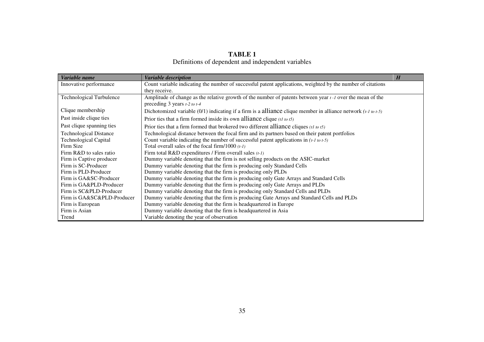#### **TABLE 1**

Definitions of dependent and independent variables

| Variable name                   | Variable description                                                                                                | H |
|---------------------------------|---------------------------------------------------------------------------------------------------------------------|---|
| Innovative performance          | Count variable indicating the number of successful patent applications, weighted by the number of citations         |   |
|                                 | they receive.                                                                                                       |   |
| <b>Technological Turbulence</b> | Amplitude of change as the relative growth of the number of patents between year $t - 1$ over the mean of the       |   |
|                                 | preceding 3 years $t-2$ to $t-4$                                                                                    |   |
| Clique membership               | Dichotomized variable (0/1) indicating if a firm is a alliance clique member in alliance network $(t-1 \omega t-5)$ |   |
| Past inside clique ties         | Prior ties that a firm formed inside its own alliance clique $(t \cdot t \cdot \tau)$                               |   |
| Past clique spanning ties       | Prior ties that a firm formed that brokered two different alliance cliques (t to t5)                                |   |
| <b>Technological Distance</b>   | Technological distance between the focal firm and its partners based on their patent portfolios                     |   |
| <b>Technological Capital</b>    | Count variable indicating the number of successful patent applications in $(t-1 \text{ to } t-5)$                   |   |
| Firm Size                       | Total overall sales of the focal firm/1000 $(t-1)$                                                                  |   |
| Firm R&D to sales ratio         | Firm total R&D expenditures / Firm overall sales $(t-1)$                                                            |   |
| Firm is Captive producer        | Dummy variable denoting that the firm is not selling products on the ASIC-market                                    |   |
| Firm is SC-Producer             | Dummy variable denoting that the firm is producing only Standard Cells                                              |   |
| Firm is PLD-Producer            | Dummy variable denoting that the firm is producing only PLDs                                                        |   |
| Firm is GA&SC-Producer          | Dummy variable denoting that the firm is producing only Gate Arrays and Standard Cells                              |   |
| Firm is GA&PLD-Producer         | Dummy variable denoting that the firm is producing only Gate Arrays and PLDs                                        |   |
| Firm is SC&PLD-Producer         | Dummy variable denoting that the firm is producing only Standard Cells and PLDs                                     |   |
| Firm is GA&SC&PLD-Producer      | Dummy variable denoting that the firm is producing Gate Arrays and Standard Cells and PLDs                          |   |
| Firm is European                | Dummy variable denoting that the firm is headquartered in Europe                                                    |   |
| Firm is Asian                   | Dummy variable denoting that the firm is headquartered in Asia                                                      |   |
| Trend                           | Variable denoting the year of observation                                                                           |   |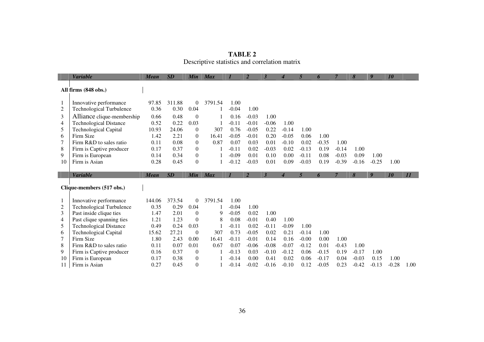|    | <b>Variable</b>                   | Mean         | SD           | Min                        | <b>Max</b> |                    | $\overline{2}$  | $\overline{3}$  | 4                | 5            | 6                  | $\overline{7}$ | 8                  | 9               | 10              |      |
|----|-----------------------------------|--------------|--------------|----------------------------|------------|--------------------|-----------------|-----------------|------------------|--------------|--------------------|----------------|--------------------|-----------------|-----------------|------|
|    |                                   |              |              |                            |            |                    |                 |                 |                  |              |                    |                |                    |                 |                 |      |
|    | All firms (848 obs.)              |              |              |                            |            |                    |                 |                 |                  |              |                    |                |                    |                 |                 |      |
| 1  | Innovative performance            | 97.85        | 311.88       | $\overline{0}$             | 3791.54    | 1.00               |                 |                 |                  |              |                    |                |                    |                 |                 |      |
| 2  | <b>Technological Turbulence</b>   | 0.36         | 0.30         | 0.04                       |            | $-0.04$            | 1.00            |                 |                  |              |                    |                |                    |                 |                 |      |
| 3  | Alliance clique-membership        | 0.66         | 0.48         | $\overline{0}$             |            | 0.16               | $-0.03$         | 1.00            |                  |              |                    |                |                    |                 |                 |      |
| 4  | <b>Technological Distance</b>     | 0.52         | 0.22         | 0.03                       |            | $-0.11$            | $-0.01$         | $-0.06$         | 1.00             |              |                    |                |                    |                 |                 |      |
| 5  | <b>Technological Capital</b>      | 10.93        | 24.06        | $\theta$                   | 307        | 0.76               | $-0.05$         | 0.22            | $-0.14$          | 1.00         |                    |                |                    |                 |                 |      |
| 6  | Firm Size                         | 1.42         | 2.21         | $\overline{0}$             | 16.41      | $-0.05$            | $-0.01$         | 0.20            | $-0.05$          | 0.06         | 1.00               |                |                    |                 |                 |      |
|    | Firm R&D to sales ratio           | 0.11         | 0.08         | $\theta$                   | 0.87       | 0.07               | 0.03            | 0.01            | $-0.10$          | 0.02         | $-0.35$            | 1.00           |                    |                 |                 |      |
| 8  | Firm is Captive producer          | 0.17         | 0.37         | $\Omega$                   |            | $-0.11$            | 0.02            | $-0.03$         | 0.02             | $-0.13$      | 0.19               | $-0.14$        | 1.00               |                 |                 |      |
| 9  | Firm is European                  | 0.14         | 0.34         | $\overline{0}$             |            | $-0.09$            | 0.01            | 0.10            | 0.00             | $-0.11$      | 0.08               | $-0.03$        | 0.09               | 1.00            |                 |      |
| 10 | Firm is Asian                     | 0.28         | 0.45         | $\Omega$                   |            | $-0.12$            | $-0.03$         | 0.01            | 0.09             | $-0.03$      | 0.19               | $-0.39$        | $-0.16$            | $-0.25$         | 1.00            |      |
|    |                                   |              |              |                            |            |                    |                 |                 |                  |              |                    |                |                    |                 |                 |      |
|    |                                   |              |              |                            |            |                    |                 |                 |                  |              |                    |                |                    |                 |                 |      |
|    | <b>Variable</b>                   | <b>Mean</b>  | SD           | Min                        | <b>Max</b> | $\mathcal I$       | $\overline{2}$  | $\mathbf{3}$    | $\boldsymbol{4}$ | 5            | 6                  | $\overline{7}$ | 8                  | 9               | 10              | II   |
|    |                                   |              |              |                            |            |                    |                 |                 |                  |              |                    |                |                    |                 |                 |      |
|    | Clique-members (517 obs.)         |              |              |                            |            |                    |                 |                 |                  |              |                    |                |                    |                 |                 |      |
|    | Innovative performance            | 144.06       | 373.54       | $\Omega$                   | 3791.54    | 1.00               |                 |                 |                  |              |                    |                |                    |                 |                 |      |
| 2  | <b>Technological Turbulence</b>   | 0.35         | 0.29         | 0.04                       |            | $-0.04$            | 1.00            |                 |                  |              |                    |                |                    |                 |                 |      |
| 3  | Past inside clique ties           | 1.47         | 2.01         | $\overline{0}$             | 9          | $-0.05$            | 0.02            | 1.00            |                  |              |                    |                |                    |                 |                 |      |
| 4  | Past clique spanning ties         | 1.21         | 1.23         | $\Omega$                   | 8          | 0.08               | $-0.01$         | 0.40            | 1.00             |              |                    |                |                    |                 |                 |      |
| 5  | <b>Technological Distance</b>     | 0.49         | 0.24         | 0.03                       |            | $-0.11$            | 0.02            | $-0.11$         | $-0.09$          | 1.00         |                    |                |                    |                 |                 |      |
| 6  | <b>Technological Capital</b>      | 15.62        | 27.21        | $\overline{0}$             | 307        | 0.73               | $-0.05$         | 0.02            | 0.21             | $-0.14$      | 1.00               |                |                    |                 |                 |      |
|    | Firm Size                         | 1.80         | 2.43         | 0.00                       | 16.41      | $-0.11$            | $-0.01$         | 0.14            | 0.16             | $-0.00$      | 0.00               | 1.00           |                    |                 |                 |      |
| 8  | Firm R&D to sales ratio           | 0.11         | 0.07         | 0.01                       | 0.67       | 0.07               | $-0.06$         | $-0.08$         | $-0.07$          | $-0.12$      | 0.01               | $-0.43$        | 1.00               |                 |                 |      |
| 9  | Firm is Captive producer          | 0.16         | 0.37         | $\theta$                   |            | $-0.13$            | 0.03            | $-0.10$         | $-0.12$          | 0.06         | $-0.15$            | 0.19           | $-0.17$            | 1.00            |                 |      |
| 10 | Firm is European<br>Firm is Asian | 0.17<br>0.27 | 0.38<br>0.45 | $\overline{0}$<br>$\theta$ |            | $-0.14$<br>$-0.14$ | 0.00<br>$-0.02$ | 0.41<br>$-0.16$ | 0.02<br>$-0.10$  | 0.06<br>0.12 | $-0.17$<br>$-0.05$ | 0.04<br>0.23   | $-0.03$<br>$-0.42$ | 0.15<br>$-0.13$ | 1.00<br>$-0.28$ | 1.00 |

| TABLE 2                                       |  |  |  |  |  |  |  |
|-----------------------------------------------|--|--|--|--|--|--|--|
| Descriptive statistics and correlation matrix |  |  |  |  |  |  |  |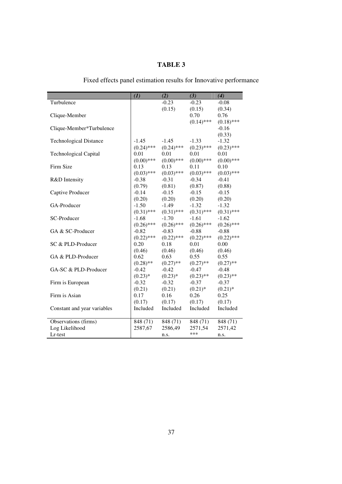### **TABLE 3**

## Fixed effects panel estimation results for Innovative performance

|                               | (I)          | (2)          | (3)          | (4)          |
|-------------------------------|--------------|--------------|--------------|--------------|
| Turbulence                    |              | $-0.23$      | $-0.23$      | $-0.08$      |
|                               |              | (0.15)       | (0.15)       | (0.34)       |
| Clique-Member                 |              |              | 0.70         | 0.76         |
|                               |              |              | $(0.14)$ *** | $(0.18)$ *** |
| Clique-Member*Turbulence      |              |              |              | $-0.16$      |
|                               |              |              |              | (0.33)       |
| <b>Technological Distance</b> | $-1.45$      | $-1.45$      | $-1.33$      | $-1.32$      |
|                               | $(0.24)$ *** | $(0.24)$ *** | $(0.23)$ *** | $(0.23)$ *** |
| <b>Technological Capital</b>  | 0.01         | 0.01         | 0.01         | 0.01         |
|                               | $(0.00)$ *** | $(0.00)$ *** | $(0.00)$ *** | $(0.00)$ *** |
| Firm Size                     | 0.13         | 0.13         | 0.11         | 0.10         |
|                               | $(0.03)$ *** | $(0.03)$ *** | $(0.03)$ *** | $(0.03)$ *** |
| R&D Intensity                 | $-0.38$      | $-0.31$      | $-0.34$      | $-0.41$      |
|                               | (0.79)       | (0.81)       | (0.87)       | (0.88)       |
| Captive Producer              | $-0.14$      | $-0.15$      | $-0.15$      | $-0.15$      |
|                               | (0.20)       | (0.20)       | (0.20)       | (0.20)       |
| GA-Producer                   | $-1.50$      | $-1.49$      | $-1.32$      | $-1.32$      |
|                               | $(0.31)$ *** | $(0.31)$ *** | $(0.31)$ *** | $(0.31)$ *** |
| SC-Producer                   | $-1.68$      | $-1.70$      | $-1.61$      | $-1.62$      |
|                               | $(0.26)$ *** | $(0.26)$ *** | $(0.26)$ *** | $(0.26)$ *** |
| GA & SC-Producer              | $-0.82$      | $-0.83$      | $-0.88$      | $-0.88$      |
|                               | $(0.22)$ *** | $(0.22)$ *** | $(0.22)$ *** | $(0.22)$ *** |
| SC & PLD-Producer             | 0.20         | 0.18         | 0.01         | 0.00         |
|                               | (0.46)       | (0.46)       | (0.46)       | (0.46)       |
| GA & PLD-Producer             | 0.62         | 0.63         | 0.55         | 0.55         |
|                               | $(0.28)$ **  | $(0.27)$ **  | $(0.27)$ **  | $(0.27)$ **  |
| GA-SC & PLD-Producer          | $-0.42$      | $-0.42$      | $-0.47$      | $-0.48$      |
|                               | $(0.23)*$    | $(0.23)*$    | $(0.23)$ **  | $(0.23)$ **  |
| Firm is European              | $-0.32$      | $-0.32$      | $-0.37$      | $-0.37$      |
|                               | (0.21)       | (0.21)       | $(0.21)$ *   | $(0.21)$ *   |
| Firm is Asian                 | 0.17         | 0.16         | 0.26         | 0.25         |
|                               | (0.17)       | (0.17)       | (0.17)       | (0.17)       |
| Constant and year variables   | Included     | Included     | Included     | Included     |
|                               |              |              |              |              |
| Observations (firms)          | 848 (71)     | 848 (71)     | 848 (71)     | 848 (71)     |
| Log Likelihood                | 2587,67      | 2586,49      | 2571,54      | 2571,42      |
| Lr-test                       |              | n.s.         | ***          | n.s.         |